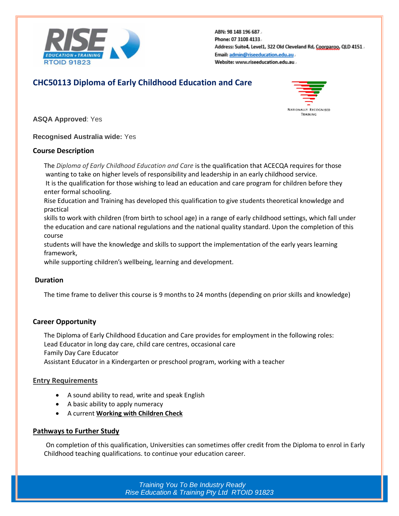

ABN: 98 148 196 687. Phone: 07 3108 4133. Address: Suite4, Level1, 322 Old Cleveland Rd, Coorparoo, QLD 4151. Email: admin@riseeducation.edu.au. Website: www.riseeducation.edu.au.

## **CHC50113 Diploma of Early Childhood Education and Care**



**ASQA Approved**: Yes

**Recognised Australia wide:** Yes

#### **Course Description**

The *Diploma of Early Childhood Education and Care* is the qualification that ACECQA requires for those wanting to take on higher levels of responsibility and leadership in an early childhood service. It is the qualification for those wishing to lead an education and care program for children before they enter formal schooling.

Rise Education and Training has developed this qualification to give students theoretical knowledge and practical

skills to work with children (from birth to school age) in a range of early childhood settings, which fall under the education and care national regulations and the national quality standard. Upon the completion of this course

students will have the knowledge and skills to support the implementation of the early years learning framework,

while supporting children's wellbeing, learning and development.

## **Duration**

The time frame to deliver this course is 9 months to 24 months (depending on prior skills and knowledge)

## **Career Opportunity**

The Diploma of Early Childhood Education and Care provides for employment in the following roles: Lead Educator in long day care, child care centres, occasional care Family Day Care Educator

Assistant Educator in a Kindergarten or preschool program, working with a teacher

## **Entry Requirements**

- A sound ability to read, write and speak English
- A basic ability to apply numeracy
- A current **[Working with Children Check](http://aifs.gov.au/cfca/publications/pre-employment-screening-working-children-checks-and-police-checks/part-overview)**

#### **Pathways to Further Study**

On completion of this qualification, Universities can sometimes offer credit from the Diploma to enrol in Early Childhood teaching qualifications. to continue your education career.

> *Training You To Be Industry Ready Rise Education & Training Pty Ltd RTOID 91823*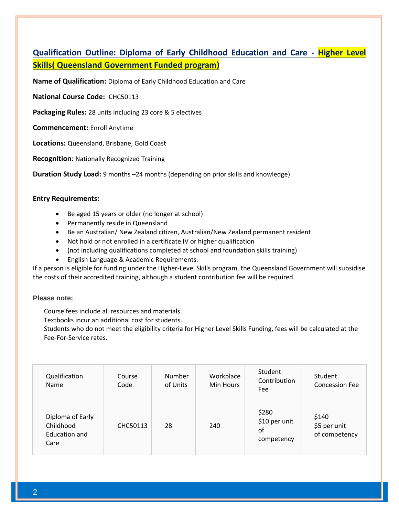## **Qualification Outline: Diploma of Early Childhood Education and Care - Higher Level Skills( Queensland Government Funded program)**

**Name of Qualification:** Diploma of Early Childhood Education and Care

**National Course Code:** CHC50113

**Packaging Rules:** 28 units including 23 core & 5 electives

**Commencement:** Enroll Anytime

**Locations:** Queensland, Brisbane, Gold Coast

**Recognition**: Nationally Recognized Training

**Duration Study Load:** 9 months –24 months (depending on prior skills and knowledge)

#### **Entry Requirements:**

- Be aged 15 years or older (no longer at school)
- Permanently reside in Queensland
- Be an Australian/ New Zealand citizen, Australian/New Zealand permanent resident
- Not hold or not enrolled in a certificate IV or higher qualification
- (not including qualifications completed at school and foundation skills training)
- English Language & Academic Requirements.

If a person is eligible for funding under the Higher-Level Skills program, the Queensland Government will subsidise the costs of their accredited training, although a student contribution fee will be required.

#### **Please note:**

Course fees include all resources and materials.

Textbooks incur an additional cost for students.

Students who do not meet the eligibility criteria for Higher Level Skills Funding, fees will be calculated at the Fee-For-Service rates.

| Qualification<br>Name                                  | Course<br>Code | <b>Number</b><br>of Units | Workplace<br>Min Hours | Student<br>Contribution<br>Fee             | Student<br><b>Concession Fee</b>       |
|--------------------------------------------------------|----------------|---------------------------|------------------------|--------------------------------------------|----------------------------------------|
| Diploma of Early<br>Childhood<br>Education and<br>Care | CHC50113       | 28                        | 240                    | \$280<br>\$10 per unit<br>οf<br>competency | \$140<br>\$5 per unit<br>of competency |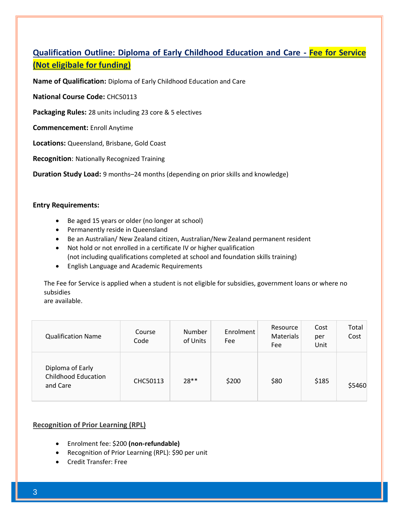# **Qualification Outline: Diploma of Early Childhood Education and Care - Fee for Service (Not eligibale for funding)**

**Name of Qualification:** Diploma of Early Childhood Education and Care

**National Course Code:** CHC50113

**Packaging Rules:** 28 units including 23 core & 5 electives

**Commencement:** Enroll Anytime

**Locations:** Queensland, Brisbane, Gold Coast

**Recognition**: Nationally Recognized Training

**Duration Study Load:** 9 months–24 months (depending on prior skills and knowledge)

#### **Entry Requirements:**

- Be aged 15 years or older (no longer at school)
- Permanently reside in Queensland
- Be an Australian/ New Zealand citizen, Australian/New Zealand permanent resident
- Not hold or not enrolled in a certificate IV or higher qualification (not including qualifications completed at school and foundation skills training)
- English Language and Academic Requirements

The Fee for Service is applied when a student is not eligible for subsidies, government loans or where no subsidies

are available.

| <b>Qualification Name</b>                                  | Course<br>Code | Number<br>of Units | Enrolment<br>Fee | Resource<br>Materials<br>Fee | Cost<br>per<br>Unit | Total<br>Cost |
|------------------------------------------------------------|----------------|--------------------|------------------|------------------------------|---------------------|---------------|
| Diploma of Early<br><b>Childhood Education</b><br>and Care | CHC50113       | $28**$             | \$200            | \$80                         | \$185               | \$5460        |

## **Recognition of Prior Learning (RPL)**

- Enrolment fee: \$200 **(non-refundable)**
- Recognition of Prior Learning (RPL): \$90 per unit
- Credit Transfer: Free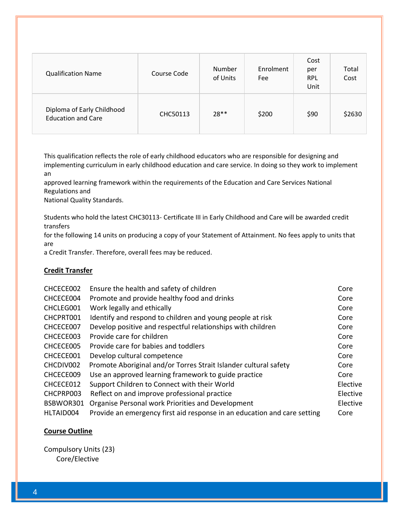| <b>Qualification Name</b>                               | Course Code     | Number<br>of Units | Enrolment<br>Fee | Cost<br>per<br><b>RPL</b><br>Unit | Total<br>Cost |
|---------------------------------------------------------|-----------------|--------------------|------------------|-----------------------------------|---------------|
| Diploma of Early Childhood<br><b>Education and Care</b> | <b>CHC50113</b> | $28**$             | \$200            | \$90                              | \$2630        |

This qualification reflects the role of early childhood educators who are responsible for designing and implementing curriculum in early childhood education and care service. In doing so they work to implement an

approved learning framework within the requirements of the Education and Care Services National Regulations and

National Quality Standards.

Students who hold the latest CHC30113- Certificate III in Early Childhood and Care will be awarded credit transfers

for the following 14 units on producing a copy of your Statement of Attainment. No fees apply to units that are

a Credit Transfer. Therefore, overall fees may be reduced.

## **Credit Transfer**

| CHCECE002 | Ensure the health and safety of children                                 | Core     |
|-----------|--------------------------------------------------------------------------|----------|
| CHCECE004 | Promote and provide healthy food and drinks                              | Core     |
| CHCLEG001 | Work legally and ethically                                               | Core     |
| CHCPRT001 | Identify and respond to children and young people at risk                | Core     |
| CHCECE007 | Develop positive and respectful relationships with children              | Core     |
| CHCECE003 | Provide care for children                                                | Core     |
| CHCECE005 | Provide care for babies and toddlers                                     | Core     |
| CHCECE001 | Develop cultural competence                                              | Core     |
| CHCDIV002 | Promote Aboriginal and/or Torres Strait Islander cultural safety         | Core     |
| CHCECE009 | Use an approved learning framework to guide practice                     | Core     |
| CHCECE012 | Support Children to Connect with their World                             | Elective |
| CHCPRP003 | Reflect on and improve professional practice                             | Elective |
| BSBWOR301 | Organise Personal work Priorities and Development                        | Elective |
| HLTAID004 | Provide an emergency first aid response in an education and care setting | Core     |

## **Course Outline**

Compulsory Units (23) Core/Elective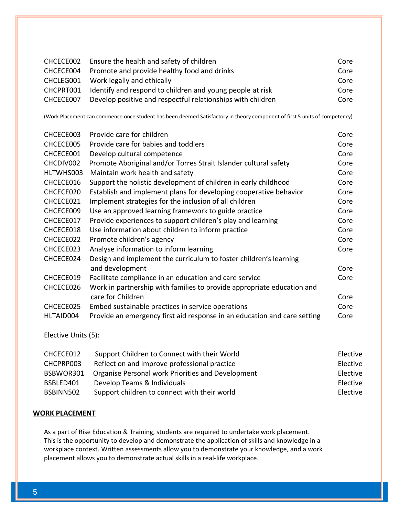| CHCECE002 | Ensure the health and safety of children                    | Core |
|-----------|-------------------------------------------------------------|------|
|           | CHCECE004 Promote and provide healthy food and drinks       | Core |
|           | CHCLEG001 Work legally and ethically                        | Core |
| CHCPRT001 | Identify and respond to children and young people at risk   | Core |
| CHCECE007 | Develop positive and respectful relationships with children | Core |

(Work Placement can commence once student has been deemed Satisfactory in theory component of first 5 units of competency)

| CHCECE003 | Provide care for children                                                | Core |
|-----------|--------------------------------------------------------------------------|------|
| CHCECE005 | Provide care for babies and toddlers                                     | Core |
| CHCECE001 | Develop cultural competence                                              | Core |
| CHCDIV002 | Promote Aboriginal and/or Torres Strait Islander cultural safety         | Core |
| HLTWHS003 | Maintain work health and safety                                          | Core |
| CHCECE016 | Support the holistic development of children in early childhood          | Core |
| CHCECE020 | Establish and implement plans for developing cooperative behavior        | Core |
| CHCECE021 | Implement strategies for the inclusion of all children                   | Core |
| CHCECE009 | Use an approved learning framework to guide practice                     | Core |
| CHCECE017 | Provide experiences to support children's play and learning              | Core |
| CHCECE018 | Use information about children to inform practice                        | Core |
| CHCECE022 | Promote children's agency                                                | Core |
| CHCECE023 | Analyse information to inform learning                                   | Core |
| CHCECE024 | Design and implement the curriculum to foster children's learning        |      |
|           | and development                                                          | Core |
| CHCECE019 | Facilitate compliance in an education and care service                   | Core |
| CHCECE026 | Work in partnership with families to provide appropriate education and   |      |
|           | care for Children                                                        | Core |
| CHCECE025 | Embed sustainable practices in service operations                        | Core |
| HLTAID004 | Provide an emergency first aid response in an education and care setting | Core |

Elective Units (5):

| CHCECE012 | Support Children to Connect with their World      | Elective |
|-----------|---------------------------------------------------|----------|
| CHCPRP003 | Reflect on and improve professional practice      | Elective |
| BSBWOR301 | Organise Personal work Priorities and Development | Elective |
| BSBLED401 | Develop Teams & Individuals                       | Elective |
| BSBINN502 | Support children to connect with their world      | Elective |

## **WORK PLACEMENT**

As a part of Rise Education & Training, students are required to undertake work placement. This is the opportunity to develop and demonstrate the application of skills and knowledge in a workplace context. Written assessments allow you to demonstrate your knowledge, and a work placement allows you to demonstrate actual skills in a real-life workplace.